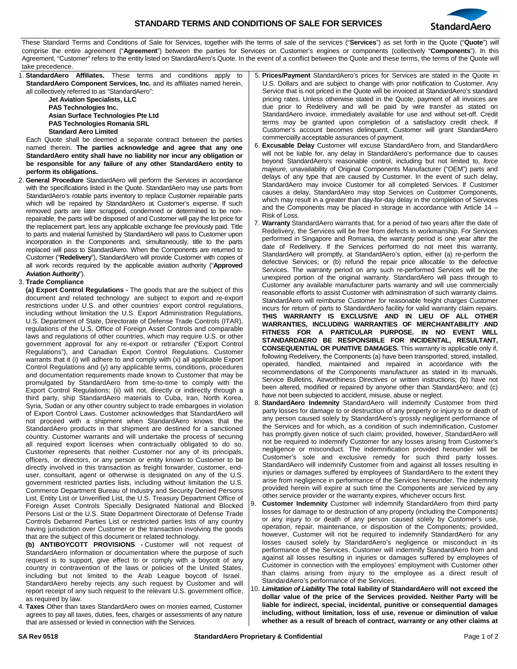

These Standard Terms and Conditions of Sale for Services, together with the terms of sale of the services ("**Services**") as set forth in the Quote ("**Quote**") will comprise the entire agreement ("**Agreement**") between the parties for Services on Customer's engines or components (collectively "**Components**"). In this Agreement, "Customer" refers to the entity listed on StandardAero's Quote. In the event of a conflict between the Quote and these terms, the terms of the Quote will

| take precedence.                                                                                                                                    |                                                                                                                                                                        |
|-----------------------------------------------------------------------------------------------------------------------------------------------------|------------------------------------------------------------------------------------------------------------------------------------------------------------------------|
| 1. StandardAero Affiliates. These terms and conditions apply to                                                                                     | 5. Prices/Payment StandardAero's prices for Services are stated in the Quote in                                                                                        |
| <b>StandardAero Component Services, Inc. and its affiliates named herein,</b>                                                                       | U.S. Dollars and are subject to change with prior notification to Customer. Any                                                                                        |
| all collectively referred to as "StandardAero":                                                                                                     | Service that is not priced in the Quote will be invoiced at StandardAero's standard                                                                                    |
| <b>Jet Aviation Specialists, LLC</b>                                                                                                                | pricing rates. Unless otherwise stated in the Quote, payment of all invoices are                                                                                       |
| <b>PAS Technologies Inc.</b>                                                                                                                        | due prior to Redelivery and will be paid by wire transfer as stated on                                                                                                 |
| Asian Surface Technologies Pte Ltd                                                                                                                  | StandardAero invoice, immediately available for use and without set-off. Credit                                                                                        |
| <b>PAS Technologies Romania SRL</b>                                                                                                                 | terms may be granted upon completion of a satisfactory credit check. If                                                                                                |
| <b>Standard Aero Limited</b>                                                                                                                        | Customer's account becomes delinquent, Customer will grant StandardAero                                                                                                |
| Each Quote shall be deemed a separate contract between the parties                                                                                  | commercially acceptable assurances of payment.                                                                                                                         |
| named therein. The parties acknowledge and agree that any one                                                                                       | 6. Excusable Delay Customer will excuse StandardAero from, and StandardAero                                                                                            |
| StandardAero entity shall have no liability nor incur any obligation or                                                                             | will not be liable for, any delay in StandardAero's performance due to causes                                                                                          |
| be responsible for any failure of any other StandardAero entity to                                                                                  | beyond StandardAero's reasonable control, including but not limited to, force                                                                                          |
| perform its obligations.                                                                                                                            | <i>majeure</i> , unavailability of Original Components Manufacturer ("OEM") parts and                                                                                  |
| <b>General Procedure</b> StandardAero will perform the Services in accordance<br>2.                                                                 | delays of any type that are caused by Customer. In the event of such delay,                                                                                            |
| with the specifications listed in the Quote. StandardAero may use parts from                                                                        | StandardAero may invoice Customer for all completed Services. If Customer                                                                                              |
| StandardAero's rotable parts inventory to replace Customer repairable parts                                                                         | causes a delay, StandardAero may stop Services on Customer Components,                                                                                                 |
| which will be repaired by StandardAero at Customer's expense. If such                                                                               | which may result in a greater than day-for-day delay in the completion of Services                                                                                     |
| removed parts are later scrapped, condemned or determined to be non-                                                                                | and the Components may be placed in storage in accordance with Article $14 -$                                                                                          |
| repairable, the parts will be disposed of and Customer will pay the list price for                                                                  | Risk of Loss.                                                                                                                                                          |
| the replacement part, less any applicable exchange fee previously paid. Title                                                                       | 7. Warranty StandardAero warrants that, for a period of two years after the date of<br>Redelivery, the Services will be free from defects in workmanship. For Services |
| to parts and material furnished by StandardAero will pass to Customer upon                                                                          | performed in Singapore and Romania, the warranty period is one year after the                                                                                          |
| incorporation in the Components and, simultaneously, title to the parts                                                                             | date of Redelivery. If the Services performed do not meet this warranty,                                                                                               |
| replaced will pass to StandardAero. When the Components are returned to                                                                             | StandardAero will promptly, at StandardAero's option, either (a) re-perform the                                                                                        |
| Customer ("Redelivery"), StandardAero will provide Customer with copies of                                                                          | defective Services; or (b) refund the repair price allocable to the defective                                                                                          |
| all work records required by the applicable aviation authority ("Approved                                                                           | Services. The warranty period on any such re-performed Services will be the                                                                                            |
| Aviation Authority").                                                                                                                               | unexpired portion of the original warranty. StandardAero will pass through to                                                                                          |
| 3. Trade Compliance                                                                                                                                 | Customer any available manufacturer parts warranty and will use commercially                                                                                           |
| (a) Export Control Regulations - The goods that are the subject of this                                                                             | reasonable efforts to assist Customer with administration of such warranty claims.                                                                                     |
| document and related technology are subject to export and re-export                                                                                 | StandardAero will reimburse Customer for reasonable freight charges Customer                                                                                           |
| restrictions under U.S. and other countries' export control regulations,                                                                            | incurs for return of parts to StandardAero facility for valid warranty claim repairs.                                                                                  |
| including without limitation the U.S. Export Administration Regulations,                                                                            | THIS WARRANTY IS EXCLUSIVE AND IN LIEU OF ALL OTHER                                                                                                                    |
| U.S. Department of State, Directorate of Defense Trade Controls (ITAR),                                                                             | WARRANTIES, INCLUDING WARRANTIES OF MERCHANTABILITY AND                                                                                                                |
| regulations of the U.S. Office of Foreign Asset Controls and comparable                                                                             | FITNESS FOR A PARTICULAR PURPOSE. IN NO EVENT WILL                                                                                                                     |
| laws and regulations of other countries, which may require U.S. or other                                                                            | STANDARDAERO BE RESPONSIBLE FOR INCIDENTAL, RESULTANT,                                                                                                                 |
| government approval for any re-export or retransfer ("Export Control                                                                                | <b>CONSEQUENTIAL OR PUNITIVE DAMAGES.</b> This warranty is applicable only if,                                                                                         |
| Regulations"), and Canadian Export Control Regulations. Customer<br>warrants that it (i) will adhere to and comply with $(x)$ all applicable Export | following Redelivery, the Components (a) have been transported, stored, installed,                                                                                     |
| Control Regulations and (y) any applicable terms, conditions, procedures                                                                            | operated, handled, maintained and repaired in accordance with the                                                                                                      |
| and documentation requirements made known to Customer that may be                                                                                   | recommendations of the Components manufacturer as stated in its manuals,                                                                                               |
| promulgated by StandardAero from time-to-time to comply with the                                                                                    | Service Bulletins, Airworthiness Directives or written instructions; (b) have not                                                                                      |
| Export Control Regulations; (ii) will not, directly or indirectly through a                                                                         | been altered, modified or repaired by anyone other than StandardAero; and (c)                                                                                          |
| third party, ship StandardAero materials to Cuba, Iran, North Korea,                                                                                | have not been subjected to accident, misuse, abuse or neglect.                                                                                                         |
| Syria, Sudan or any other country subject to trade embargoes in violation                                                                           | 8. StandardAero Indemnity StandardAero will indemnify Customer from third                                                                                              |
| of Export Control Laws. Customer acknowledges that StandardAero will                                                                                | party losses for damage to or destruction of any property or injury to or death of                                                                                     |
| not proceed with a shipment when StandardAero knows that the                                                                                        | any person caused solely by StandardAero's grossly negligent performance of                                                                                            |
| StandardAero products in that shipment are destined for a sanctioned                                                                                | the Services and for which, as a condition of such indemnification, Customer                                                                                           |
| country. Customer warrants and will undertake the process of securing                                                                               | has promptly given notice of such claim; provided, however, StandardAero will                                                                                          |
| all required export licenses when contractually obligated to do so.                                                                                 | not be required to indemnify Customer for any losses arising from Customer's                                                                                           |
| Customer represents that neither Customer nor any of its principals,                                                                                | negligence or misconduct. The indemnification provided hereunder will be                                                                                               |
| officers, or directors, or any person or entity known to Customer to be                                                                             | Customer's sole and exclusive remedy for such third party losses.                                                                                                      |
| directly involved in this transaction as freight forwarder, customer, end-                                                                          | StandardAero will indemnify Customer from and against all losses resulting in                                                                                          |
| user, consultant, agent or otherwise is designated on any of the U.S.                                                                               | injuries or damages suffered by employees of StandardAero to the extent they<br>arise from negligence in performance of the Services hereunder. The indemnity          |
| government restricted parties lists, including without limitation the U.S.                                                                          | provided herein will expire at such time the Components are serviced by any                                                                                            |
| Commerce Department Bureau of Industry and Security Depied Persons                                                                                  |                                                                                                                                                                        |

government restricted parties lists, including without limitation the U.S. Commerce Department Bureau of Industry and Security Denied Persons List, Entity List or Unverified List, the U.S. Treasury Department Office of Foreign Asset Controls Specially Designated National and Blocked Persons List or the U.S. State Department Directorate of Defense Trade Controls Debarred Parties List or restricted parties lists of any country having jurisdiction over Customer or the transaction involving the goods that are the subject of this document or related technology.

**(b) ANTIBOYCOTT PROVISIONS -** Customer will not request of StandardAero information or documentation where the purpose of such request is to support, give effect to or comply with a boycott of any country in contravention of the laws or policies of the United States, including but not limited to the Arab League boycott of Israel. StandardAero hereby rejects any such request by Customer and will report receipt of any such request to the relevant U.S. government office, as required by law.

4. **Taxes** Other than taxes StandardAero owes on monies earned, Customer agrees to pay all taxes, duties, fees, charges or assessments of any nature that are assessed or levied in connection with the Services.

other service provider or the warranty expires, whichever occurs first. 9. **Customer Indemnity** Customer will indemnify StandardAero from third party losses for damage to or destruction of any property (including the Components) or any injury to or death of any person caused solely by Customer's use, operation, repair, maintenance, or disposition of the Components; provided, however, Customer will not be required to indemnify StandardAero for any losses caused solely by StandardAero's negligence or misconduct in its performance of the Services. Customer will indemnify StandardAero from and against all losses resulting in injuries or damages suffered by employees of Customer in connection with the employees' employment with Customer other than claims arising from injury to the employee as a direct result of StandardAero's performance of the Services.

10. *Limitation of Liability* **The total liability of StandardAero will not exceed the dollar value of the price of the Services provided. Neither Party will be liable for indirect, special, incidental, punitive or consequential damages including, without limitation, loss of use, revenue or diminution of value whether as a result of breach of contract, warranty or any other claims at**